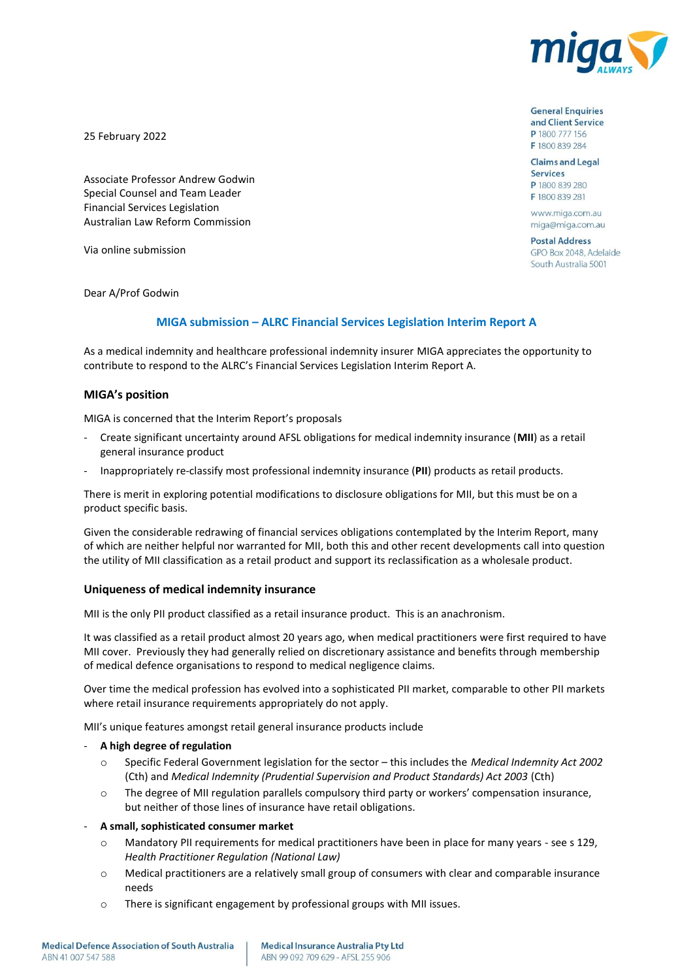

25 February 2022

Associate Professor Andrew Godwin Special Counsel and Team Leader Financial Services Legislation Australian Law Reform Commission

Via online submission

Dear A/Prof Godwin

#### **MIGA submission – ALRC Financial Services Legislation Interim Report A**

As a medical indemnity and healthcare professional indemnity insurer MIGA appreciates the opportunity to contribute to respond to the ALRC's Financial Services Legislation Interim Report A.

### **MIGA's position**

MIGA is concerned that the Interim Report's proposals

- Create significant uncertainty around AFSL obligations for medical indemnity insurance (**MII**) as a retail general insurance product
- Inappropriately re-classify most professional indemnity insurance (**PII**) products as retail products.

There is merit in exploring potential modifications to disclosure obligations for MII, but this must be on a product specific basis.

Given the considerable redrawing of financial services obligations contemplated by the Interim Report, many of which are neither helpful nor warranted for MII, both this and other recent developments call into question the utility of MII classification as a retail product and support its reclassification as a wholesale product.

#### **Uniqueness of medical indemnity insurance**

MII is the only PII product classified as a retail insurance product. This is an anachronism.

It was classified as a retail product almost 20 years ago, when medical practitioners were first required to have MII cover. Previously they had generally relied on discretionary assistance and benefits through membership of medical defence organisations to respond to medical negligence claims.

Over time the medical profession has evolved into a sophisticated PII market, comparable to other PII markets where retail insurance requirements appropriately do not apply.

MII's unique features amongst retail general insurance products include

#### - **A high degree of regulation**

- o Specific Federal Government legislation for the sector this includes the *Medical Indemnity Act 2002* (Cth) and *Medical Indemnity (Prudential Supervision and Product Standards) Act 2003* (Cth)
- o The degree of MII regulation parallels compulsory third party or workers' compensation insurance, but neither of those lines of insurance have retail obligations.

### - **A small, sophisticated consumer market**

- o Mandatory PII requirements for medical practitioners have been in place for many years see s 129, *Health Practitioner Regulation (National Law)*
- o Medical practitioners are a relatively small group of consumers with clear and comparable insurance needs
- o There is significant engagement by professional groups with MII issues.

**General Enquiries** and Client Service P 1800 777 156 F 1800 839 284

**Claims and Legal Services** P 1800 839 280 F 1800 839 281

www.miga.com.au miga@miga.com.au

**Postal Address** GPO Box 2048, Adelaide South Australia 5001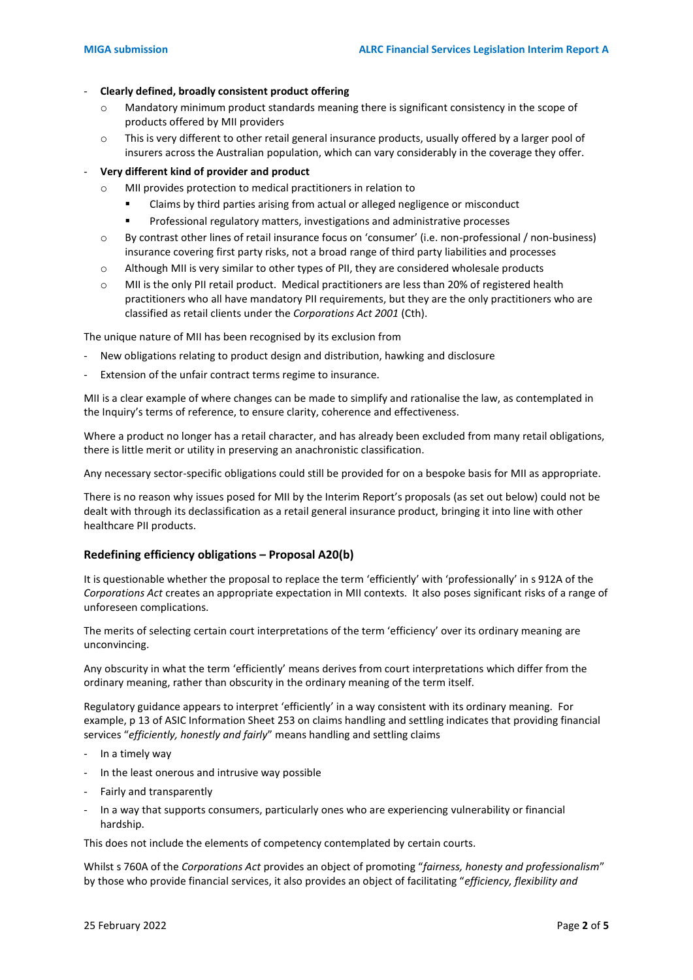# - **Clearly defined, broadly consistent product offering**

- o Mandatory minimum product standards meaning there is significant consistency in the scope of products offered by MII providers
- $\circ$  This is very different to other retail general insurance products, usually offered by a larger pool of insurers across the Australian population, which can vary considerably in the coverage they offer.

# - **Very different kind of provider and product**

- o MII provides protection to medical practitioners in relation to
	- Claims by third parties arising from actual or alleged negligence or misconduct
	- Professional regulatory matters, investigations and administrative processes
- o By contrast other lines of retail insurance focus on 'consumer' (i.e. non-professional / non-business) insurance covering first party risks, not a broad range of third party liabilities and processes
- $\circ$  Although MII is very similar to other types of PII, they are considered wholesale products
- o MII is the only PII retail product. Medical practitioners are less than 20% of registered health practitioners who all have mandatory PII requirements, but they are the only practitioners who are classified as retail clients under the *Corporations Act 2001* (Cth).

The unique nature of MII has been recognised by its exclusion from

- New obligations relating to product design and distribution, hawking and disclosure
- Extension of the unfair contract terms regime to insurance.

MII is a clear example of where changes can be made to simplify and rationalise the law, as contemplated in the Inquiry's terms of reference, to ensure clarity, coherence and effectiveness.

Where a product no longer has a retail character, and has already been excluded from many retail obligations, there is little merit or utility in preserving an anachronistic classification.

Any necessary sector-specific obligations could still be provided for on a bespoke basis for MII as appropriate.

There is no reason why issues posed for MII by the Interim Report's proposals (as set out below) could not be dealt with through its declassification as a retail general insurance product, bringing it into line with other healthcare PII products.

## **Redefining efficiency obligations – Proposal A20(b)**

It is questionable whether the proposal to replace the term 'efficiently' with 'professionally' in s 912A of the *Corporations Act* creates an appropriate expectation in MII contexts. It also poses significant risks of a range of unforeseen complications.

The merits of selecting certain court interpretations of the term 'efficiency' over its ordinary meaning are unconvincing.

Any obscurity in what the term 'efficiently' means derives from court interpretations which differ from the ordinary meaning, rather than obscurity in the ordinary meaning of the term itself.

Regulatory guidance appears to interpret 'efficiently' in a way consistent with its ordinary meaning. For example, p 13 of ASIC Information Sheet 253 on claims handling and settling indicates that providing financial services "*efficiently, honestly and fairly*" means handling and settling claims

- In a timely way
- In the least onerous and intrusive way possible
- Fairly and transparently
- In a way that supports consumers, particularly ones who are experiencing vulnerability or financial hardship.

This does not include the elements of competency contemplated by certain courts.

Whilst s 760A of the *Corporations Act* provides an object of promoting "*fairness, honesty and professionalism*" by those who provide financial services, it also provides an object of facilitating "*efficiency, flexibility and*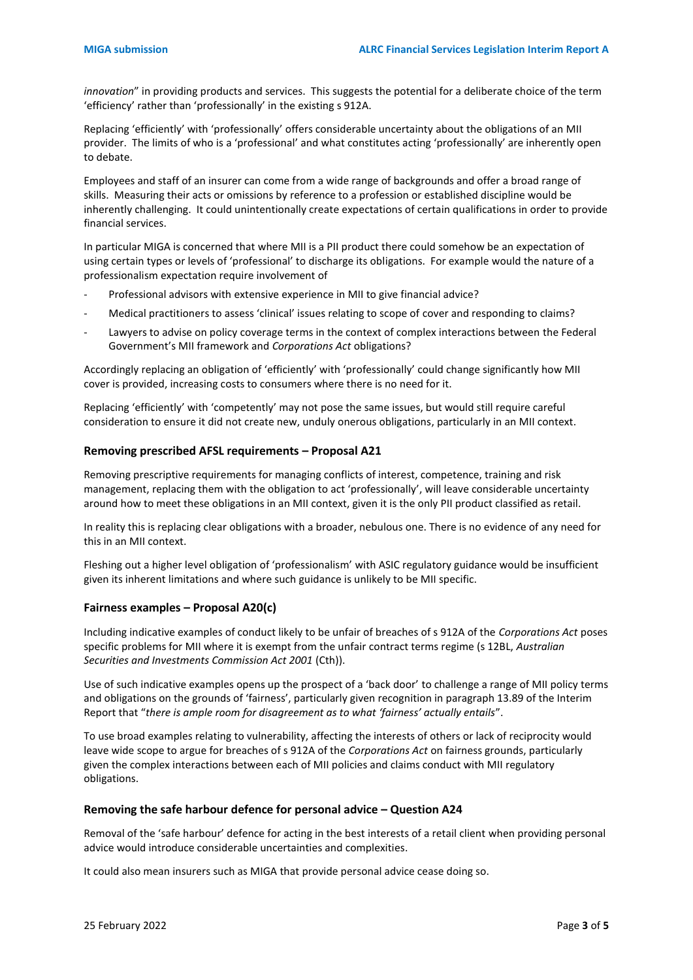*innovation*" in providing products and services. This suggests the potential for a deliberate choice of the term 'efficiency' rather than 'professionally' in the existing s 912A.

Replacing 'efficiently' with 'professionally' offers considerable uncertainty about the obligations of an MII provider. The limits of who is a 'professional' and what constitutes acting 'professionally' are inherently open to debate.

Employees and staff of an insurer can come from a wide range of backgrounds and offer a broad range of skills. Measuring their acts or omissions by reference to a profession or established discipline would be inherently challenging. It could unintentionally create expectations of certain qualifications in order to provide financial services.

In particular MIGA is concerned that where MII is a PII product there could somehow be an expectation of using certain types or levels of 'professional' to discharge its obligations. For example would the nature of a professionalism expectation require involvement of

- Professional advisors with extensive experience in MII to give financial advice?
- Medical practitioners to assess 'clinical' issues relating to scope of cover and responding to claims?
- Lawyers to advise on policy coverage terms in the context of complex interactions between the Federal Government's MII framework and *Corporations Act* obligations?

Accordingly replacing an obligation of 'efficiently' with 'professionally' could change significantly how MII cover is provided, increasing costs to consumers where there is no need for it.

Replacing 'efficiently' with 'competently' may not pose the same issues, but would still require careful consideration to ensure it did not create new, unduly onerous obligations, particularly in an MII context.

## **Removing prescribed AFSL requirements – Proposal A21**

Removing prescriptive requirements for managing conflicts of interest, competence, training and risk management, replacing them with the obligation to act 'professionally', will leave considerable uncertainty around how to meet these obligations in an MII context, given it is the only PII product classified as retail.

In reality this is replacing clear obligations with a broader, nebulous one. There is no evidence of any need for this in an MII context.

Fleshing out a higher level obligation of 'professionalism' with ASIC regulatory guidance would be insufficient given its inherent limitations and where such guidance is unlikely to be MII specific.

## **Fairness examples – Proposal A20(c)**

Including indicative examples of conduct likely to be unfair of breaches of s 912A of the *Corporations Act* poses specific problems for MII where it is exempt from the unfair contract terms regime (s 12BL, *Australian Securities and Investments Commission Act 2001* (Cth)).

Use of such indicative examples opens up the prospect of a 'back door' to challenge a range of MII policy terms and obligations on the grounds of 'fairness', particularly given recognition in paragraph 13.89 of the Interim Report that "*there is ample room for disagreement as to what 'fairness' actually entails*".

To use broad examples relating to vulnerability, affecting the interests of others or lack of reciprocity would leave wide scope to argue for breaches of s 912A of the *Corporations Act* on fairness grounds, particularly given the complex interactions between each of MII policies and claims conduct with MII regulatory obligations.

#### **Removing the safe harbour defence for personal advice – Question A24**

Removal of the 'safe harbour' defence for acting in the best interests of a retail client when providing personal advice would introduce considerable uncertainties and complexities.

It could also mean insurers such as MIGA that provide personal advice cease doing so.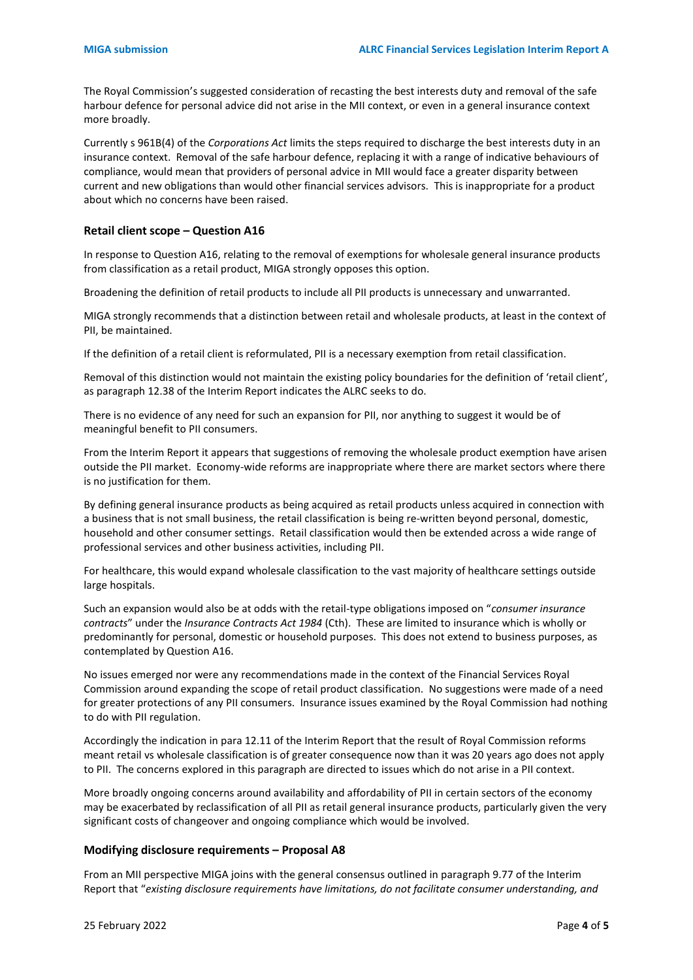The Royal Commission's suggested consideration of recasting the best interests duty and removal of the safe harbour defence for personal advice did not arise in the MII context, or even in a general insurance context more broadly.

Currently s 961B(4) of the *Corporations Act* limits the steps required to discharge the best interests duty in an insurance context. Removal of the safe harbour defence, replacing it with a range of indicative behaviours of compliance, would mean that providers of personal advice in MII would face a greater disparity between current and new obligations than would other financial services advisors. This is inappropriate for a product about which no concerns have been raised.

### **Retail client scope – Question A16**

In response to Question A16, relating to the removal of exemptions for wholesale general insurance products from classification as a retail product, MIGA strongly opposes this option.

Broadening the definition of retail products to include all PII products is unnecessary and unwarranted.

MIGA strongly recommends that a distinction between retail and wholesale products, at least in the context of PII, be maintained.

If the definition of a retail client is reformulated, PII is a necessary exemption from retail classification.

Removal of this distinction would not maintain the existing policy boundaries for the definition of 'retail client', as paragraph 12.38 of the Interim Report indicates the ALRC seeks to do.

There is no evidence of any need for such an expansion for PII, nor anything to suggest it would be of meaningful benefit to PII consumers.

From the Interim Report it appears that suggestions of removing the wholesale product exemption have arisen outside the PII market. Economy-wide reforms are inappropriate where there are market sectors where there is no justification for them.

By defining general insurance products as being acquired as retail products unless acquired in connection with a business that is not small business, the retail classification is being re-written beyond personal, domestic, household and other consumer settings. Retail classification would then be extended across a wide range of professional services and other business activities, including PII.

For healthcare, this would expand wholesale classification to the vast majority of healthcare settings outside large hospitals.

Such an expansion would also be at odds with the retail-type obligations imposed on "*consumer insurance contracts*" under the *Insurance Contracts Act 1984* (Cth). These are limited to insurance which is wholly or predominantly for personal, domestic or household purposes. This does not extend to business purposes, as contemplated by Question A16.

No issues emerged nor were any recommendations made in the context of the Financial Services Royal Commission around expanding the scope of retail product classification. No suggestions were made of a need for greater protections of any PII consumers. Insurance issues examined by the Royal Commission had nothing to do with PII regulation.

Accordingly the indication in para 12.11 of the Interim Report that the result of Royal Commission reforms meant retail vs wholesale classification is of greater consequence now than it was 20 years ago does not apply to PII. The concerns explored in this paragraph are directed to issues which do not arise in a PII context.

More broadly ongoing concerns around availability and affordability of PII in certain sectors of the economy may be exacerbated by reclassification of all PII as retail general insurance products, particularly given the very significant costs of changeover and ongoing compliance which would be involved.

### **Modifying disclosure requirements – Proposal A8**

From an MII perspective MIGA joins with the general consensus outlined in paragraph 9.77 of the Interim Report that "*existing disclosure requirements have limitations, do not facilitate consumer understanding, and*